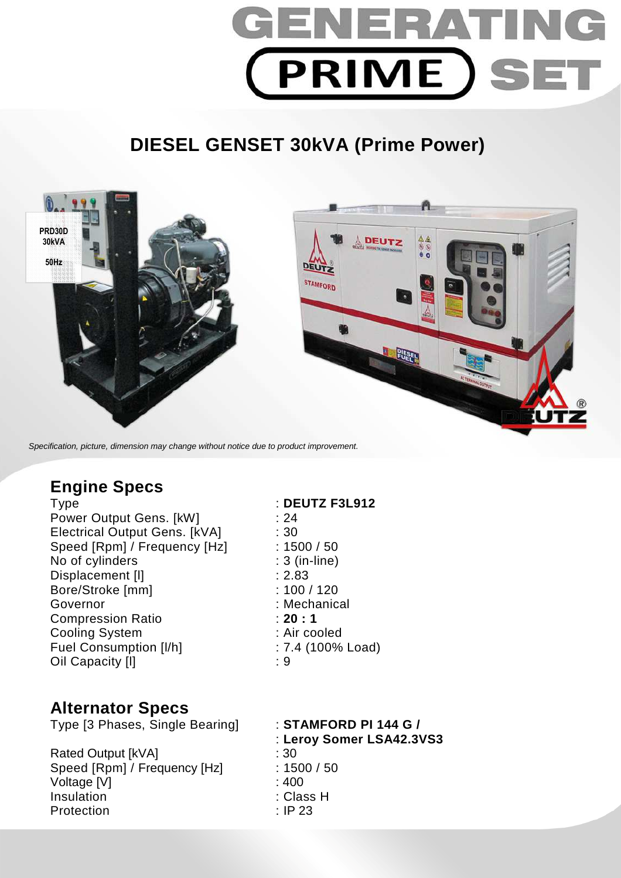

# **DIESEL GENSET 30kVA (Prime Power)**



Specification, picture, dimension may change without notice due to product improvement.

# **Engine Specs**

Power Output Gens. [kW] : 24 Electrical Output Gens. [kVA] : 30 Speed [Rpm] / Frequency [Hz] : 1500 / 50 No of cylinders : 3 (in-line) Displacement [I] 2.83 Bore/Stroke [mm] : 100 / 120 Governor : Mechanical Compression Ratio : **20 : 1**  Cooling System : Air cooled Fuel Consumption [I/h] : 7.4 (100% Load) Oil Capacity [l] : 9

# Type : **DEUTZ F3L912**

## **Alternator Specs**

Type [3 Phases, Single Bearing] : **STAMFORD PI 144 G /** 

Rated Output [kVA] : 30 Speed [Rpm] / Frequency [Hz] : 1500 / 50 Voltage [V] : 400 Insulation : Class H Protection : IP 23

: **Leroy Somer LSA42.3VS3**